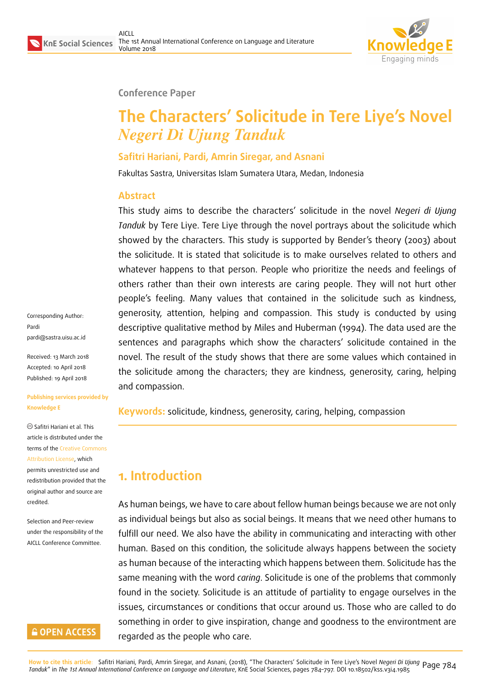

#### **Conference Paper**

# **The Characters' Solicitude in Tere Liye's Novel** *Negeri Di Ujung Tanduk*

### **Safitri Hariani, Pardi, Amrin Siregar, and Asnani**

Fakultas Sastra, Universitas Islam Sumatera Utara, Medan, Indonesia

### **Abstract**

This study aims to describe the characters' solicitude in the novel *Negeri di Ujung Tanduk* by Tere Liye. Tere Liye through the novel portrays about the solicitude which showed by the characters. This study is supported by Bender's theory (2003) about the solicitude. It is stated that solicitude is to make ourselves related to others and whatever happens to that person. People who prioritize the needs and feelings of others rather than their own interests are caring people. They will not hurt other people's feeling. Many values that contained in the solicitude such as kindness, generosity, attention, helping and compassion. This study is conducted by using descriptive qualitative method by Miles and Huberman (1994). The data used are the sentences and paragraphs which show the characters' solicitude contained in the novel. The result of the study shows that there are some values which contained in the solicitude among the characters; they are kindness, generosity, caring, helping and compassion.

**Keywords:** solicitude, kindness, generosity, caring, helping, compassion

# **1. Introduction**

As human beings, we have to care about fellow human beings because we are not only as individual beings but also as social beings. It means that we need other humans to fulfill our need. We also have the ability in communicating and interacting with other human. Based on this condition, the solicitude always happens between the society as human because of the interacting which happens between them. Solicitude has the same meaning with the word *caring*. Solicitude is one of the problems that commonly found in the society. Solicitude is an attitude of partiality to engage ourselves in the issues, circumstances or conditions that occur around us. Those who are called to do something in order to give inspiration, change and goodness to the environtment are regarded as the people who care.

Corresponding Author: Pardi pardi@sastra.uisu.ac.id

Received: 13 March 2018 Accepted: 10 April 2018 [Published: 19 April 2018](mailto:pardi@sastra.uisu.ac.id)

**Publishing services provided by Knowledge E**

Safitri Hariani et al. This article is distributed under the terms of the Creative Commons Attribution License, which permits unrestricted use and redistribution provided that the original auth[or and source are](https://creativecommons.org/licenses/by/4.0/) [credited.](https://creativecommons.org/licenses/by/4.0/)

Selection and Peer-review under the responsibility of the AICLL Conference Committee.

### **GOPEN ACCESS**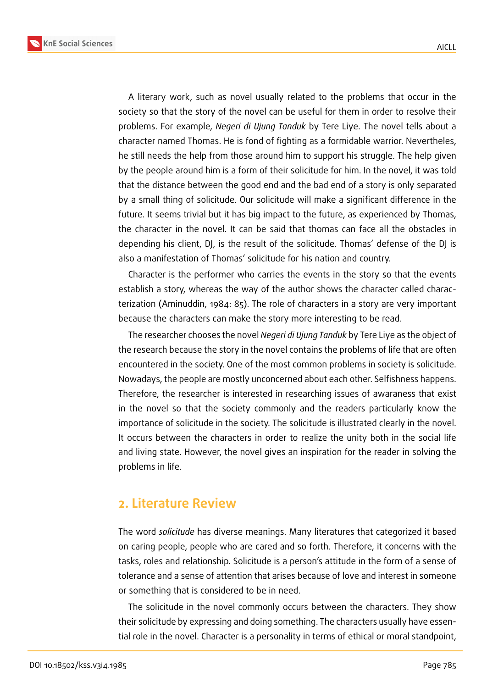**KnE Social Sciences**



A literary work, such as novel usually related to the problems that occur in the society so that the story of the novel can be useful for them in order to resolve their problems. For example, *Negeri di Ujung Tanduk* by Tere Liye. The novel tells about a character named Thomas. He is fond of fighting as a formidable warrior. Nevertheles, he still needs the help from those around him to support his struggle. The help given by the people around him is a form of their solicitude for him. In the novel, it was told that the distance between the good end and the bad end of a story is only separated by a small thing of solicitude. Our solicitude will make a significant difference in the future. It seems trivial but it has big impact to the future, as experienced by Thomas, the character in the novel. It can be said that thomas can face all the obstacles in depending his client, DJ, is the result of the solicitude. Thomas' defense of the DJ is also a manifestation of Thomas' solicitude for his nation and country.

Character is the performer who carries the events in the story so that the events establish a story, whereas the way of the author shows the character called characterization (Aminuddin, 1984: 85). The role of characters in a story are very important because the characters can make the story more interesting to be read.

The researcher chooses the novel *Negeri di Ujung Tanduk* by Tere Liye as the object of the research because the story in the novel contains the problems of life that are often encountered in the society. One of the most common problems in society is solicitude. Nowadays, the people are mostly unconcerned about each other. Selfishness happens. Therefore, the researcher is interested in researching issues of awaraness that exist in the novel so that the society commonly and the readers particularly know the importance of solicitude in the society. The solicitude is illustrated clearly in the novel. It occurs between the characters in order to realize the unity both in the social life and living state. However, the novel gives an inspiration for the reader in solving the problems in life.

### **2. Literature Review**

The word *solicitude* has diverse meanings. Many literatures that categorized it based on caring people, people who are cared and so forth. Therefore, it concerns with the tasks, roles and relationship. Solicitude is a person's attitude in the form of a sense of tolerance and a sense of attention that arises because of love and interest in someone or something that is considered to be in need.

The solicitude in the novel commonly occurs between the characters. They show their solicitude by expressing and doing something. The characters usually have essential role in the novel. Character is a personality in terms of ethical or moral standpoint,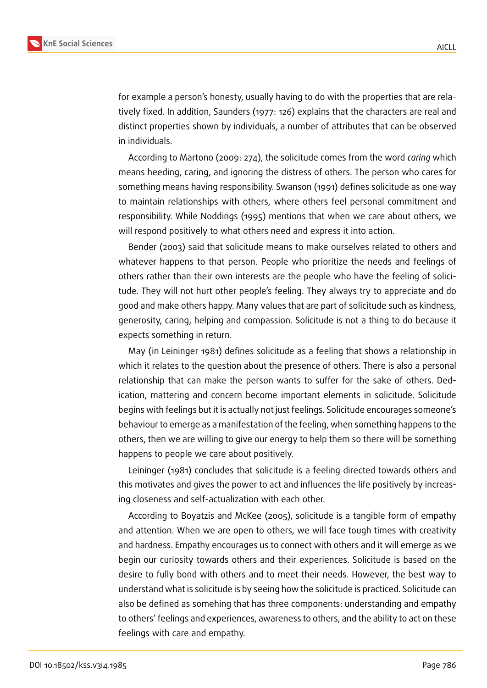

for example a person's honesty, usually having to do with the properties that are relatively fixed. In addition, Saunders (1977: 126) explains that the characters are real and distinct properties shown by individuals, a number of attributes that can be observed in individuals.

According to Martono (2009: 274), the solicitude comes from the word *caring* which means heeding, caring, and ignoring the distress of others. The person who cares for something means having responsibility. Swanson (1991) defines solicitude as one way to maintain relationships with others, where others feel personal commitment and responsibility. While Noddings (1995) mentions that when we care about others, we will respond positively to what others need and express it into action.

Bender (2003) said that solicitude means to make ourselves related to others and whatever happens to that person. People who prioritize the needs and feelings of others rather than their own interests are the people who have the feeling of solicitude. They will not hurt other people's feeling. They always try to appreciate and do good and make others happy. Many values that are part of solicitude such as kindness, generosity, caring, helping and compassion. Solicitude is not a thing to do because it expects something in return.

May (in Leininger 1981) defines solicitude as a feeling that shows a relationship in which it relates to the question about the presence of others. There is also a personal relationship that can make the person wants to suffer for the sake of others. Dedication, mattering and concern become important elements in solicitude. Solicitude begins with feelings but it is actually not just feelings. Solicitude encourages someone's behaviour to emerge as a manifestation of the feeling, when something happens to the others, then we are willing to give our energy to help them so there will be something happens to people we care about positively.

Leininger (1981) concludes that solicitude is a feeling directed towards others and this motivates and gives the power to act and influences the life positively by increasing closeness and self-actualization with each other.

According to Boyatzis and McKee (2005), solicitude is a tangible form of empathy and attention. When we are open to others, we will face tough times with creativity and hardness. Empathy encourages us to connect with others and it will emerge as we begin our curiosity towards others and their experiences. Solicitude is based on the desire to fully bond with others and to meet their needs. However, the best way to understand what is solicitude is by seeing how the solicitude is practiced. Solicitude can also be defined as somehing that has three components: understanding and empathy to others' feelings and experiences, awareness to others, and the ability to act on these feelings with care and empathy.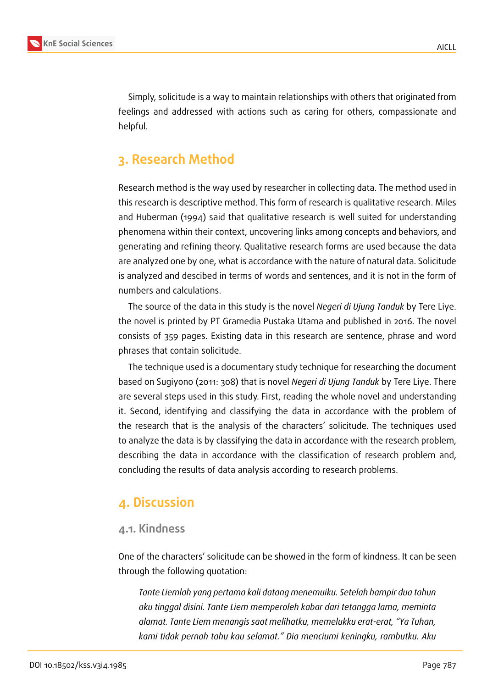

Simply, solicitude is a way to maintain relationships with others that originated from feelings and addressed with actions such as caring for others, compassionate and helpful.

## **3. Research Method**

Research method is the way used by researcher in collecting data. The method used in this research is descriptive method. This form of research is qualitative research. Miles and Huberman (1994) said that qualitative research is well suited for understanding phenomena within their context, uncovering links among concepts and behaviors, and generating and refining theory. Qualitative research forms are used because the data are analyzed one by one, what is accordance with the nature of natural data. Solicitude is analyzed and descibed in terms of words and sentences, and it is not in the form of numbers and calculations.

The source of the data in this study is the novel *Negeri di Ujung Tanduk* by Tere Liye. the novel is printed by PT Gramedia Pustaka Utama and published in 2016. The novel consists of 359 pages. Existing data in this research are sentence, phrase and word phrases that contain solicitude.

The technique used is a documentary study technique for researching the document based on Sugiyono (2011: 308) that is novel *Negeri di Ujung Tanduk* by Tere Liye. There are several steps used in this study. First, reading the whole novel and understanding it. Second, identifying and classifying the data in accordance with the problem of the research that is the analysis of the characters' solicitude. The techniques used to analyze the data is by classifying the data in accordance with the research problem, describing the data in accordance with the classification of research problem and, concluding the results of data analysis according to research problems.

### **4. Discussion**

#### **4.1. Kindness**

One of the characters' solicitude can be showed in the form of kindness. It can be seen through the following quotation:

*Tante Liemlah yang pertama kali datang menemuiku. Setelah hampir dua tahun aku tinggal disini. Tante Liem memperoleh kabar dari tetangga lama, meminta alamat. Tante Liem menangis saat melihatku, memelukku erat-erat, "Ya Tuhan, kami tidak pernah tahu kau selamat." Dia menciumi keningku, rambutku. Aku*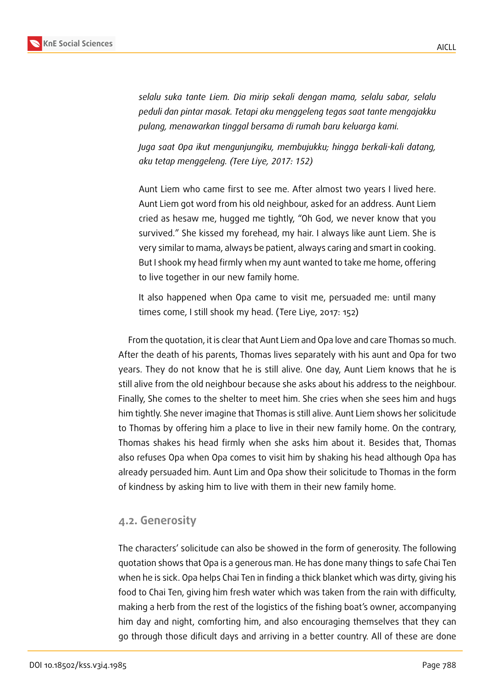

*selalu suka tante Liem. Dia mirip sekali dengan mama, selalu sabar, selalu peduli dan pintar masak. Tetapi aku menggeleng tegas saat tante mengajakku pulang, menawarkan tinggal bersama di rumah baru keluarga kami.*

*Juga saat Opa ikut mengunjungiku, membujukku; hingga berkali-kali datang, aku tetap menggeleng. (Tere Liye, 2017: 152)*

Aunt Liem who came first to see me. After almost two years I lived here. Aunt Liem got word from his old neighbour, asked for an address. Aunt Liem cried as hesaw me, hugged me tightly, "Oh God, we never know that you survived." She kissed my forehead, my hair. I always like aunt Liem. She is very similar to mama, always be patient, always caring and smart in cooking. But I shook my head firmly when my aunt wanted to take me home, offering to live together in our new family home.

It also happened when Opa came to visit me, persuaded me: until many times come, I still shook my head. (Tere Liye, 2017: 152)

From the quotation, it is clear that Aunt Liem and Opa love and care Thomas so much. After the death of his parents, Thomas lives separately with his aunt and Opa for two years. They do not know that he is still alive. One day, Aunt Liem knows that he is still alive from the old neighbour because she asks about his address to the neighbour. Finally, She comes to the shelter to meet him. She cries when she sees him and hugs him tightly. She never imagine that Thomas is still alive. Aunt Liem shows her solicitude to Thomas by offering him a place to live in their new family home. On the contrary, Thomas shakes his head firmly when she asks him about it. Besides that, Thomas also refuses Opa when Opa comes to visit him by shaking his head although Opa has already persuaded him. Aunt Lim and Opa show their solicitude to Thomas in the form of kindness by asking him to live with them in their new family home.

### **4.2. Generosity**

The characters' solicitude can also be showed in the form of generosity. The following quotation shows that Opa is a generous man. He has done many things to safe Chai Ten when he is sick. Opa helps Chai Ten in finding a thick blanket which was dirty, giving his food to Chai Ten, giving him fresh water which was taken from the rain with difficulty, making a herb from the rest of the logistics of the fishing boat's owner, accompanying him day and night, comforting him, and also encouraging themselves that they can go through those dificult days and arriving in a better country. All of these are done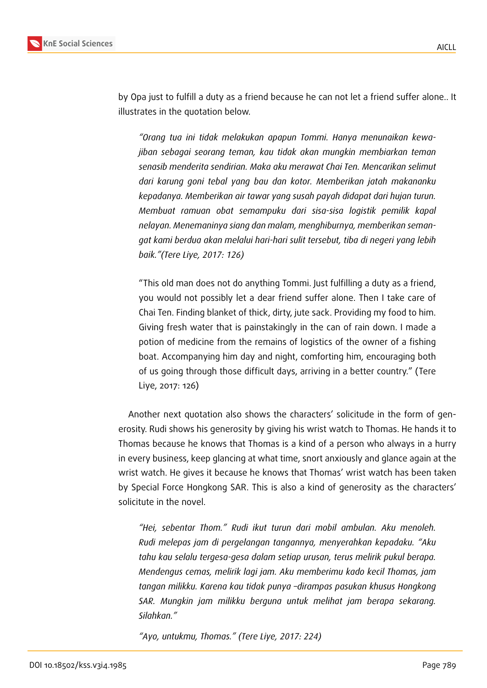

by Opa just to fulfill a duty as a friend because he can not let a friend suffer alone.. It illustrates in the quotation below.

*"Orang tua ini tidak melakukan apapun Tommi. Hanya menunaikan kewajiban sebagai seorang teman, kau tidak akan mungkin membiarkan teman senasib menderita sendirian. Maka aku merawat Chai Ten. Mencarikan selimut dari karung goni tebal yang bau dan kotor. Memberikan jatah makananku kepadanya. Memberikan air tawar yang susah payah didapat dari hujan turun. Membuat ramuan obat semampuku dari sisa-sisa logistik pemilik kapal nelayan. Menemaninya siang dan malam, menghiburnya, memberikan semangat kami berdua akan melalui hari-hari sulit tersebut, tiba di negeri yang lebih baik."(Tere Liye, 2017: 126)*

"This old man does not do anything Tommi. Just fulfilling a duty as a friend, you would not possibly let a dear friend suffer alone. Then I take care of Chai Ten. Finding blanket of thick, dirty, jute sack. Providing my food to him. Giving fresh water that is painstakingly in the can of rain down. I made a potion of medicine from the remains of logistics of the owner of a fishing boat. Accompanying him day and night, comforting him, encouraging both of us going through those difficult days, arriving in a better country." (Tere Liye, 2017: 126)

Another next quotation also shows the characters' solicitude in the form of generosity. Rudi shows his generosity by giving his wrist watch to Thomas. He hands it to Thomas because he knows that Thomas is a kind of a person who always in a hurry in every business, keep glancing at what time, snort anxiously and glance again at the wrist watch. He gives it because he knows that Thomas' wrist watch has been taken by Special Force Hongkong SAR. This is also a kind of generosity as the characters' solicitute in the novel.

*"Hei, sebentar Thom." Rudi ikut turun dari mobil ambulan. Aku menoleh. Rudi melepas jam di pergelangan tangannya, menyerahkan kepadaku. "Aku tahu kau selalu tergesa-gesa dalam setiap urusan, terus melirik pukul berapa. Mendengus cemas, melirik lagi jam. Aku memberimu kado kecil Thomas, jam tangan milikku. Karena kau tidak punya –dirampas pasukan khusus Hongkong SAR. Mungkin jam milikku berguna untuk melihat jam berapa sekarang. Silahkan."*

*"Ayo, untukmu, Thomas." (Tere Liye, 2017: 224)*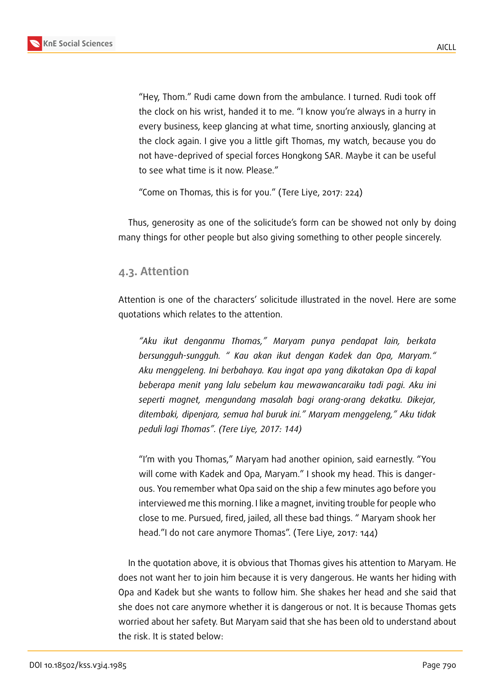"Hey, Thom." Rudi came down from the ambulance. I turned. Rudi took off the clock on his wrist, handed it to me. "I know you're always in a hurry in every business, keep glancing at what time, snorting anxiously, glancing at the clock again. I give you a little gift Thomas, my watch, because you do not have-deprived of special forces Hongkong SAR. Maybe it can be useful to see what time is it now. Please."

"Come on Thomas, this is for you." (Tere Liye, 2017: 224)

Thus, generosity as one of the solicitude's form can be showed not only by doing many things for other people but also giving something to other people sincerely.

#### **4.3. Attention**

Attention is one of the characters' solicitude illustrated in the novel. Here are some quotations which relates to the attention.

*"Aku ikut denganmu Thomas," Maryam punya pendapat lain, berkata bersungguh-sungguh. " Kau akan ikut dengan Kadek dan Opa, Maryam." Aku menggeleng. Ini berbahaya. Kau ingat apa yang dikatakan Opa di kapal beberapa menit yang lalu sebelum kau mewawancaraiku tadi pagi. Aku ini seperti magnet, mengundang masalah bagi orang-orang dekatku. Dikejar, ditembaki, dipenjara, semua hal buruk ini." Maryam menggeleng," Aku tidak peduli lagi Thomas". (Tere Liye, 2017: 144)*

"I'm with you Thomas," Maryam had another opinion, said earnestly. "You will come with Kadek and Opa, Maryam." I shook my head. This is dangerous. You remember what Opa said on the ship a few minutes ago before you interviewed me this morning. I like a magnet, inviting trouble for people who close to me. Pursued, fired, jailed, all these bad things. " Maryam shook her head."I do not care anymore Thomas". (Tere Liye, 2017: 144)

In the quotation above, it is obvious that Thomas gives his attention to Maryam. He does not want her to join him because it is very dangerous. He wants her hiding with Opa and Kadek but she wants to follow him. She shakes her head and she said that she does not care anymore whether it is dangerous or not. It is because Thomas gets worried about her safety. But Maryam said that she has been old to understand about the risk. It is stated below: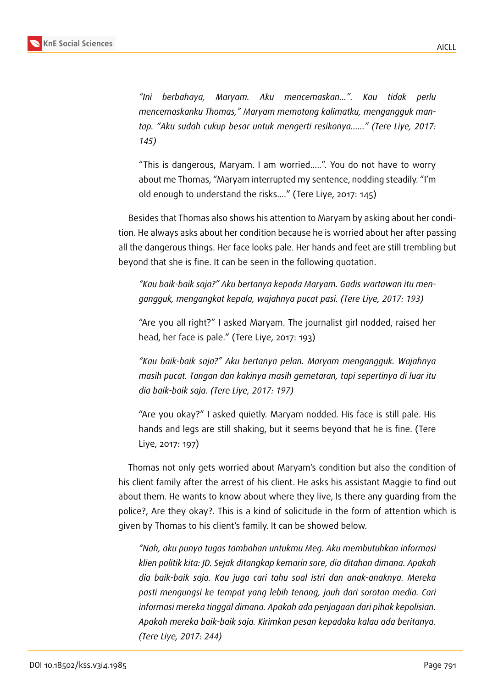

**KnE Social Sciences**

*"Ini berbahaya, Maryam. Aku mencemaskan...". Kau tidak perlu mencemaskanku Thomas," Maryam memotong kalimatku, mengangguk mantap. "Aku sudah cukup besar untuk mengerti resikonya......" (Tere Liye, 2017: 145)*

"This is dangerous, Maryam. I am worried.....". You do not have to worry about me Thomas, "Maryam interrupted my sentence, nodding steadily. "I'm old enough to understand the risks...." (Tere Liye, 2017: 145)

Besides that Thomas also shows his attention to Maryam by asking about her condition. He always asks about her condition because he is worried about her after passing all the dangerous things. Her face looks pale. Her hands and feet are still trembling but beyond that she is fine. It can be seen in the following quotation.

*"Kau baik-baik saja?" Aku bertanya kepada Maryam. Gadis wartawan itu mengangguk, mengangkat kepala, wajahnya pucat pasi. (Tere Liye, 2017: 193)*

"Are you all right?" I asked Maryam. The journalist girl nodded, raised her head, her face is pale." (Tere Liye, 2017: 193)

*"Kau baik-baik saja?" Aku bertanya pelan. Maryam mengangguk. Wajahnya masih pucat. Tangan dan kakinya masih gemetaran, tapi sepertinya di luar itu dia baik-baik saja. (Tere Liye, 2017: 197)*

"Are you okay?" I asked quietly. Maryam nodded. His face is still pale. His hands and legs are still shaking, but it seems beyond that he is fine. (Tere Liye, 2017: 197)

Thomas not only gets worried about Maryam's condition but also the condition of his client family after the arrest of his client. He asks his assistant Maggie to find out about them. He wants to know about where they live, Is there any guarding from the police?, Are they okay?. This is a kind of solicitude in the form of attention which is given by Thomas to his client's family. It can be showed below.

*"Nah, aku punya tugas tambahan untukmu Meg. Aku membutuhkan informasi klien politik kita: JD. Sejak ditangkap kemarin sore, dia ditahan dimana. Apakah dia baik-baik saja. Kau juga cari tahu soal istri dan anak-anaknya. Mereka pasti mengungsi ke tempat yang lebih tenang, jauh dari sorotan media. Cari informasi mereka tinggal dimana. Apakah ada penjagaan dari pihak kepolisian. Apakah mereka baik-baik saja. Kirimkan pesan kepadaku kalau ada beritanya. (Tere Liye, 2017: 244)*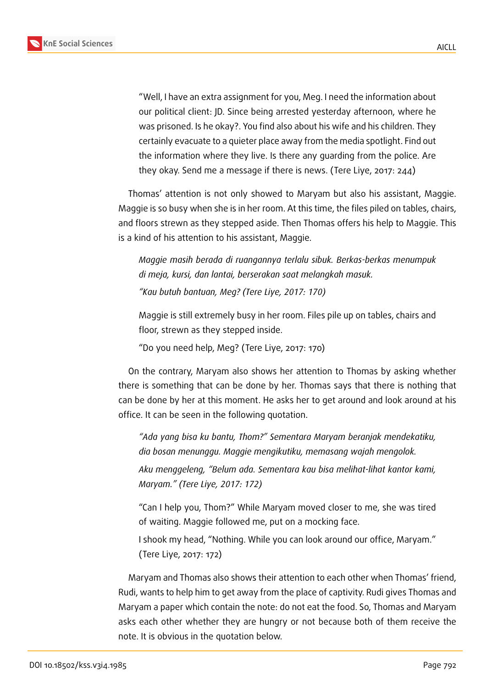

AICLL

"Well, I have an extra assignment for you, Meg. I need the information about our political client: JD. Since being arrested yesterday afternoon, where he was prisoned. Is he okay?. You find also about his wife and his children. They certainly evacuate to a quieter place away from the media spotlight. Find out the information where they live. Is there any guarding from the police. Are they okay. Send me a message if there is news. (Tere Liye, 2017: 244)

Thomas' attention is not only showed to Maryam but also his assistant, Maggie. Maggie is so busy when she is in her room. At this time, the files piled on tables, chairs, and floors strewn as they stepped aside. Then Thomas offers his help to Maggie. This is a kind of his attention to his assistant, Maggie.

*Maggie masih berada di ruangannya terlalu sibuk. Berkas-berkas menumpuk di meja, kursi, dan lantai, berserakan saat melangkah masuk. "Kau butuh bantuan, Meg? (Tere Liye, 2017: 170)*

Maggie is still extremely busy in her room. Files pile up on tables, chairs and floor, strewn as they stepped inside.

"Do you need help, Meg? (Tere Liye, 2017: 170)

On the contrary, Maryam also shows her attention to Thomas by asking whether there is something that can be done by her. Thomas says that there is nothing that can be done by her at this moment. He asks her to get around and look around at his office. It can be seen in the following quotation.

*"Ada yang bisa ku bantu, Thom?" Sementara Maryam beranjak mendekatiku, dia bosan menunggu. Maggie mengikutiku, memasang wajah mengolok. Aku menggeleng, "Belum ada. Sementara kau bisa melihat-lihat kantor kami, Maryam." (Tere Liye, 2017: 172)*

"Can I help you, Thom?" While Maryam moved closer to me, she was tired of waiting. Maggie followed me, put on a mocking face.

I shook my head, "Nothing. While you can look around our office, Maryam." (Tere Liye, 2017: 172)

Maryam and Thomas also shows their attention to each other when Thomas' friend, Rudi, wants to help him to get away from the place of captivity. Rudi gives Thomas and Maryam a paper which contain the note: do not eat the food. So, Thomas and Maryam asks each other whether they are hungry or not because both of them receive the note. It is obvious in the quotation below.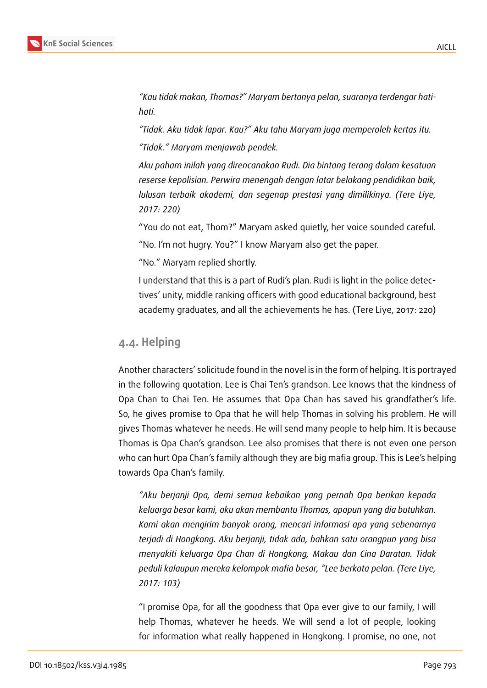

*"Kau tidak makan, Thomas?" Maryam bertanya pelan, suaranya terdengar hatihati.*

*"Tidak. Aku tidak lapar. Kau?" Aku tahu Maryam juga memperoleh kertas itu. "Tidak." Maryam menjawab pendek.*

*Aku paham inilah yang direncanakan Rudi. Dia bintang terang dalam kesatuan reserse kepolisian. Perwira menengah dengan latar belakang pendidikan baik, lulusan terbaik akademi, dan segenap prestasi yang dimilikinya. (Tere Liye, 2017: 220)*

"You do not eat, Thom?" Maryam asked quietly, her voice sounded careful.

"No. I'm not hugry. You?" I know Maryam also get the paper.

"No." Maryam replied shortly.

I understand that this is a part of Rudi's plan. Rudi is light in the police detectives' unity, middle ranking officers with good educational background, best academy graduates, and all the achievements he has. (Tere Liye, 2017: 220)

#### **4.4. Helping**

Another characters' solicitude found in the novel is in the form of helping. It is portrayed in the following quotation. Lee is Chai Ten's grandson. Lee knows that the kindness of Opa Chan to Chai Ten. He assumes that Opa Chan has saved his grandfather's life. So, he gives promise to Opa that he will help Thomas in solving his problem. He will gives Thomas whatever he needs. He will send many people to help him. It is because Thomas is Opa Chan's grandson. Lee also promises that there is not even one person who can hurt Opa Chan's family although they are big mafia group. This is Lee's helping towards Opa Chan's family.

*"Aku berjanji Opa, demi semua kebaikan yang pernah Opa berikan kepada keluarga besar kami, aku akan membantu Thomas, apapun yang dia butuhkan. Kami akan mengirim banyak orang, mencari informasi apa yang sebenarnya terjadi di Hongkong. Aku berjanji, tidak ada, bahkan satu orangpun yang bisa menyakiti keluarga Opa Chan di Hongkong, Makau dan Cina Daratan. Tidak peduli kalaupun mereka kelompok mafia besar, "Lee berkata pelan. (Tere Liye, 2017: 103)*

"I promise Opa, for all the goodness that Opa ever give to our family, I will help Thomas, whatever he heeds. We will send a lot of people, looking for information what really happened in Hongkong. I promise, no one, not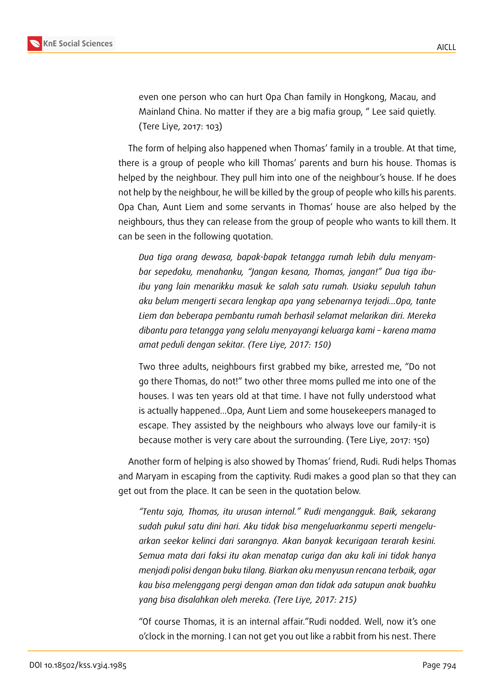

even one person who can hurt Opa Chan family in Hongkong, Macau, and Mainland China. No matter if they are a big mafia group, " Lee said quietly. (Tere Liye, 2017: 103)

The form of helping also happened when Thomas' family in a trouble. At that time, there is a group of people who kill Thomas' parents and burn his house. Thomas is helped by the neighbour. They pull him into one of the neighbour's house. If he does not help by the neighbour, he will be killed by the group of people who kills his parents. Opa Chan, Aunt Liem and some servants in Thomas' house are also helped by the neighbours, thus they can release from the group of people who wants to kill them. It can be seen in the following quotation.

*Dua tiga orang dewasa, bapak-bapak tetangga rumah lebih dulu menyambar sepedaku, menahanku, "Jangan kesana, Thomas, jangan!" Dua tiga ibuibu yang lain menarikku masuk ke salah satu rumah. Usiaku sepuluh tahun aku belum mengerti secara lengkap apa yang sebenarnya terjadi...Opa, tante Liem dan beberapa pembantu rumah berhasil selamat melarikan diri. Mereka dibantu para tetangga yang selalu menyayangi keluarga kami – karena mama amat peduli dengan sekitar. (Tere Liye, 2017: 150)*

Two three adults, neighbours first grabbed my bike, arrested me, "Do not go there Thomas, do not!" two other three moms pulled me into one of the houses. I was ten years old at that time. I have not fully understood what is actually happened...Opa, Aunt Liem and some housekeepers managed to escape. They assisted by the neighbours who always love our family-it is because mother is very care about the surrounding. (Tere Liye, 2017: 150)

Another form of helping is also showed by Thomas' friend, Rudi. Rudi helps Thomas and Maryam in escaping from the captivity. Rudi makes a good plan so that they can get out from the place. It can be seen in the quotation below.

*"Tentu saja, Thomas, itu urusan internal." Rudi mengangguk. Baik, sekarang sudah pukul satu dini hari. Aku tidak bisa mengeluarkanmu seperti mengeluarkan seekor kelinci dari sarangnya. Akan banyak kecurigaan terarah kesini. Semua mata dari faksi itu akan menatap curiga dan aku kali ini tidak hanya menjadi polisi dengan buku tilang. Biarkan aku menyusun rencana terbaik, agar kau bisa melenggang pergi dengan aman dan tidak ada satupun anak buahku yang bisa disalahkan oleh mereka. (Tere Liye, 2017: 215)*

"Of course Thomas, it is an internal affair."Rudi nodded. Well, now it's one o'clock in the morning. I can not get you out like a rabbit from his nest. There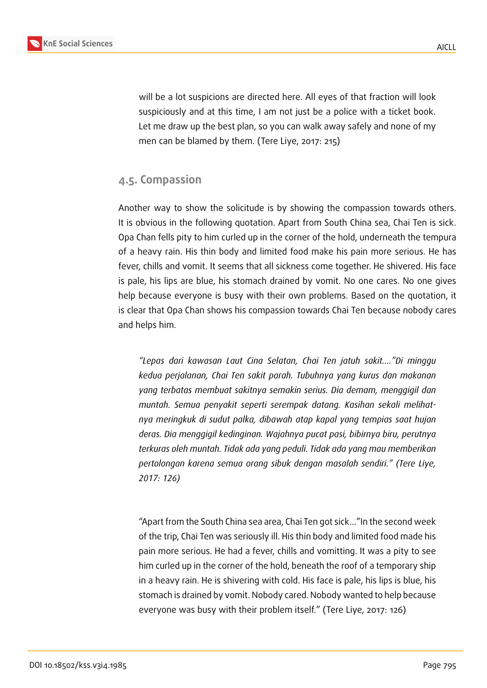

will be a lot suspicions are directed here. All eyes of that fraction will look suspiciously and at this time, I am not just be a police with a ticket book. Let me draw up the best plan, so you can walk away safely and none of my men can be blamed by them. (Tere Liye, 2017: 215)

### **4.5. Compassion**

Another way to show the solicitude is by showing the compassion towards others. It is obvious in the following quotation. Apart from South China sea, Chai Ten is sick. Opa Chan fells pity to him curled up in the corner of the hold, underneath the tempura of a heavy rain. His thin body and limited food make his pain more serious. He has fever, chills and vomit. It seems that all sickness come together. He shivered. His face is pale, his lips are blue, his stomach drained by vomit. No one cares. No one gives help because everyone is busy with their own problems. Based on the quotation, it is clear that Opa Chan shows his compassion towards Chai Ten because nobody cares and helps him.

*"Lepas dari kawasan Laut Cina Selatan, Chai Ten jatuh sakit...."Di minggu kedua perjalanan, Chai Ten sakit parah. Tubuhnya yang kurus dan makanan yang terbatas membuat sakitnya semakin serius. Dia demam, menggigil dan muntah. Semua penyakit seperti serempak datang. Kasihan sekali melihatnya meringkuk di sudut palka, dibawah atap kapal yang tempias saat hujan deras. Dia menggigil kedinginan. Wajahnya pucat pasi, bibirnya biru, perutnya terkuras oleh muntah. Tidak ada yang peduli. Tidak ada yang mau memberikan pertolongan karena semua orang sibuk dengan masalah sendiri." (Tere Liye, 2017: 126)*

"Apart from the South China sea area, Chai Ten got sick..."In the second week of the trip, Chai Ten was seriously ill. His thin body and limited food made his pain more serious. He had a fever, chills and vomitting. It was a pity to see him curled up in the corner of the hold, beneath the roof of a temporary ship in a heavy rain. He is shivering with cold. His face is pale, his lips is blue, his stomach is drained by vomit. Nobody cared. Nobody wanted to help because everyone was busy with their problem itself." (Tere Liye, 2017: 126)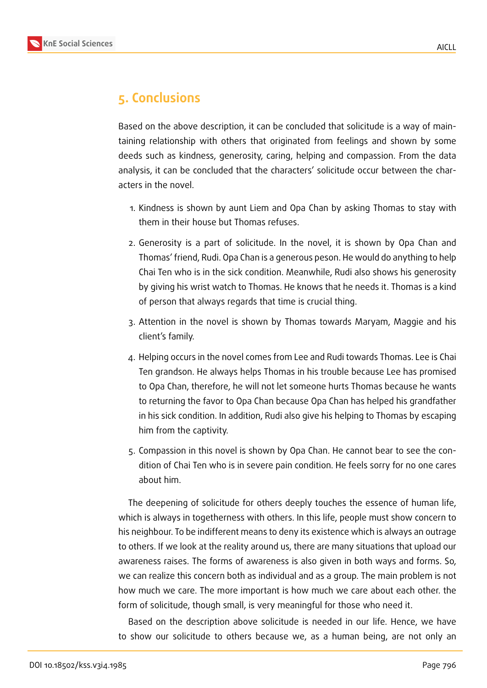

### **5. Conclusions**

Based on the above description, it can be concluded that solicitude is a way of maintaining relationship with others that originated from feelings and shown by some deeds such as kindness, generosity, caring, helping and compassion. From the data analysis, it can be concluded that the characters' solicitude occur between the characters in the novel.

- 1. Kindness is shown by aunt Liem and Opa Chan by asking Thomas to stay with them in their house but Thomas refuses.
- 2. Generosity is a part of solicitude. In the novel, it is shown by Opa Chan and Thomas' friend, Rudi. Opa Chan is a generous peson. He would do anything to help Chai Ten who is in the sick condition. Meanwhile, Rudi also shows his generosity by giving his wrist watch to Thomas. He knows that he needs it. Thomas is a kind of person that always regards that time is crucial thing.
- 3. Attention in the novel is shown by Thomas towards Maryam, Maggie and his client's family.
- 4. Helping occurs in the novel comes from Lee and Rudi towards Thomas. Lee is Chai Ten grandson. He always helps Thomas in his trouble because Lee has promised to Opa Chan, therefore, he will not let someone hurts Thomas because he wants to returning the favor to Opa Chan because Opa Chan has helped his grandfather in his sick condition. In addition, Rudi also give his helping to Thomas by escaping him from the captivity.
- 5. Compassion in this novel is shown by Opa Chan. He cannot bear to see the condition of Chai Ten who is in severe pain condition. He feels sorry for no one cares about him.

The deepening of solicitude for others deeply touches the essence of human life, which is always in togetherness with others. In this life, people must show concern to his neighbour. To be indifferent means to deny its existence which is always an outrage to others. If we look at the reality around us, there are many situations that upload our awareness raises. The forms of awareness is also given in both ways and forms. So, we can realize this concern both as individual and as a group. The main problem is not how much we care. The more important is how much we care about each other. the form of solicitude, though small, is very meaningful for those who need it.

Based on the description above solicitude is needed in our life. Hence, we have to show our solicitude to others because we, as a human being, are not only an